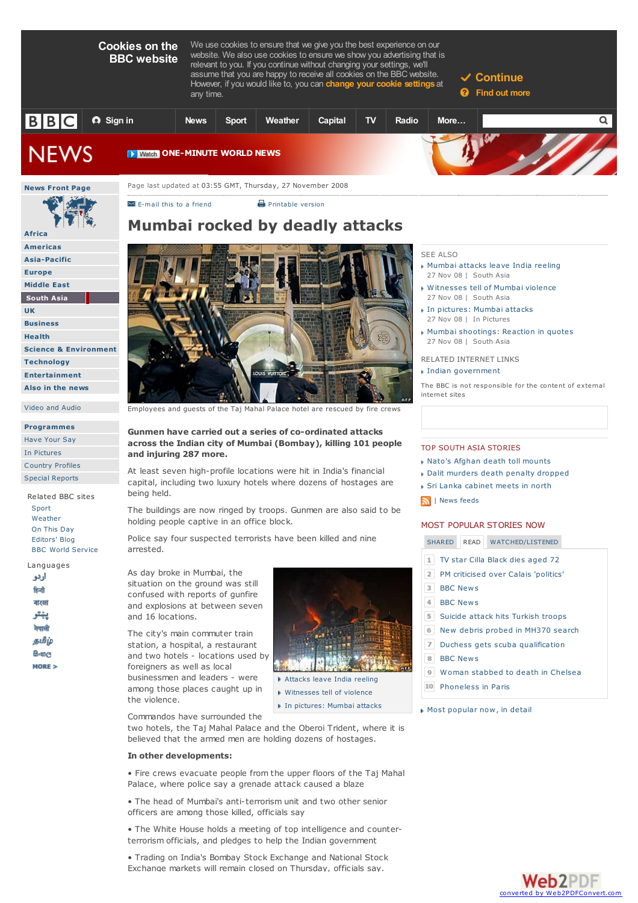**Cookies on the BBC website**

We use cookies to ensure that we give you the best experience on our website. We also use cookies to ensure we show you advertising that is relevant to you. If you continue without changing your settings, we'll assume that you are happy to receive all cookies on the BBC website. However, if you would like to, you can **change your cookie settings** at

**Continue**

**Find out more**





#### **Programmes**

Have Your Say In Pictures Country Profiles

Special Reports

Related BBC sites Sport Weather On This Day Editors' Blog BBC World Service

Languages اردو हिन्दी ateat پېتو नेपाली தமிழ் கேஜ MORE 5



 $\blacksquare$  E-mail this to a friend  $\blacksquare$  Printable version

Employees and guests of the Taj Mahal Palace hotel are rescued by fire crews

## **Gunmen have carried out a series of co-ordinated attacks across the Indian city of Mumbai (Bombay), killing 101 people and injuring 287 more.**

At least seven high-profile locations were hit in India's financial capital, including two luxury hotels where dozens of hostages are being held.

The buildings are now ringed by troops. Gunmen are also said to be holding people captive in an office block.

Police say four suspected terrorists have been killed and nine arrested.

As day broke in Mumbai, the situation on the ground was still confused with reports of gunfire and explosions at between seven and 16 locations.

The city's main commuter train station, a hospital, a restaurant and two hotels - locations used by foreigners as well as local businessmen and leaders - were among those places caught up in the violence.



- Witnesses tell of violence
- In pictures: Mumbai attacks

Commandos have surrounded the

two hotels, the Taj Mahal Palace and the Oberoi Trident, where it is believed that the armed men are holding dozens of hostages.

### **In other developments:**

• Fire crews evacuate people from the upper floors of the Taj Mahal Palace, where police say a grenade attack caused a blaze

• The head of Mumbai's anti-terrorism unit and two other senior officers are among those killed, officials say

• The White House holds a meeting of top intelligence and counterterrorism officials, and pledges to help the Indian government

• Trading on India's Bombay Stock Exchange and National Stock Exchange markets will remain closed on Thursday, officials say.

# SEE ALSO

- Mumbai attacks leave India reeling 27 Nov 08 | South Asia
- Witnesses tell of Mumbai violence 27 Nov 08 | South Asia
- In pictures: Mumbai attacks 27 Nov 08 | In Pictures
- Mumbai shootings: Reaction in quotes 27 Nov 08 | South Asia
- RELATED INTERNET LINKS Indian government

The BBC is not responsible for the content of external internet sites

## TOP SOUTH ASIA STORIES

- Nato's Afghan death toll mounts
- Dalit murders death penalty dropped
- Sri Lanka cabinet meets in north
- **M** | News feeds

## MOST POPULAR STORIES NOW

SHARED READ WATCHED/LISTENED

- TV star Cilla Black dies aged 72
- 2 PM criticised over Calais 'politics'
- **BBC News**
- $\overline{4}$ BBC News
- Suicide attack hits Turkish troops
- New debris probed in MH370 search
- $\overline{7}$ Duchess gets scuba qualification **BBC** News
- 
- Woman stabbed to death in Chelsea
- Phoneless in Paris

Most popular now, in detail

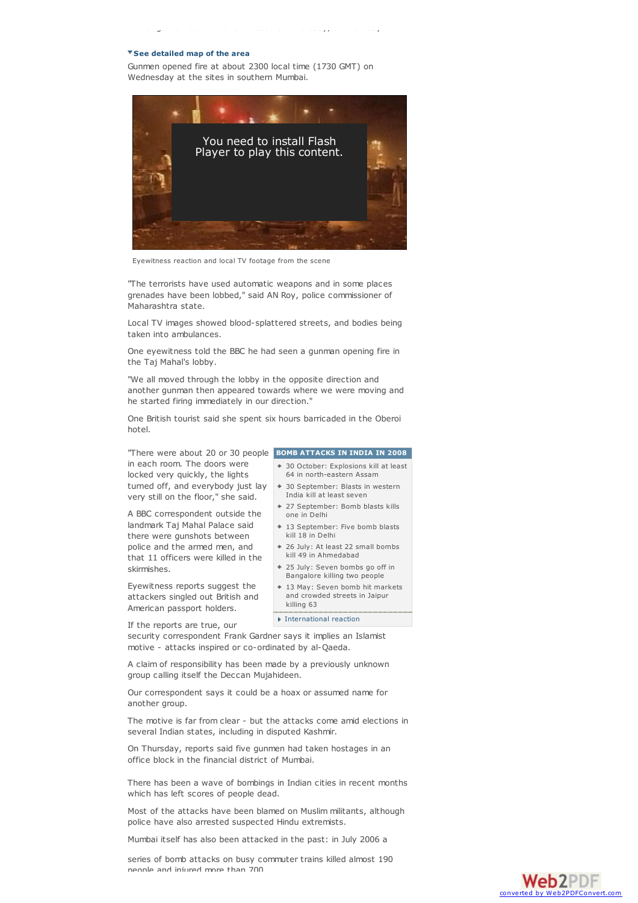#### **See detailed map of the area**

Gunmen opened fire at about 2300 local time (1730 GMT) on Wednesday at the sites in southern Mumbai.

Exchange markets will remain closed on Thursday, officials say.



Eyewitness reaction and local TV footage from the scene

"The terrorists have used automatic weapons and in some places grenades have been lobbed," said AN Roy, police commissioner of Maharashtra state.

Local TV images showed blood-splattered streets, and bodies being taken into ambulances.

One eyewitness told the BBC he had seen a gunman opening fire in the Taj Mahal's lobby.

"We all moved through the lobby in the opposite direction and another gunman then appeared towards where we were moving and he started firing immediately in our direction."

One British tourist said she spent six hours barricaded in the Oberoi hotel.

**BOMB ATTACKS IN INDIA IN 2008** "There were about 20 or 30 people in each room. The doors were locked very quickly, the lights turned off, and everybody just lay very still on the floor," she said.

A BBC correspondent outside the landmark Taj Mahal Palace said there were gunshots between police and the armed men, and that 11 officers were killed in the skirmishes.

Eyewitness reports suggest the attackers singled out British and American passport holders.

If the reports are true, our

security correspondent Frank Gardner says it implies an Islamist motive - attacks inspired or co-ordinated by al-Qaeda.

A claim of responsibility has been made by a previously unknown group calling itself the Deccan Mujahideen.

Our correspondent says it could be a hoax or assumed name for another group.

The motive is far from clear - but the attacks come amid elections in several Indian states, including in disputed Kashmir.

On Thursday, reports said five gunmen had taken hostages in an office block in the financial district of Mumbai.

There has been a wave of bombings in Indian cities in recent months which has left scores of people dead.

Most of the attacks have been blamed on Muslim militants, although police have also arrested suspected Hindu extremists.

Mumbai itself has also been attacked in the past: in July 2006 a

series of bomb attacks on busy commuter trains killed almost 190 people and injured more than 700.

- 30 October: Explosions kill at least 64 in north-eastern Assam
- 30 September: Blasts in western India kill at least seven
- 27 September: Bomb blasts kills one in Delhi
- 13 September: Five bomb blasts kill 18 in Delhi
- 26 July: At least 22 small bombs kill 49 in Ahmedabad
- 25 July: Seven bombs go off in Bangalore killing two people
- 13 May: Seven bomb hit markets and crowded streets in Jaipur killing 63

International reaction